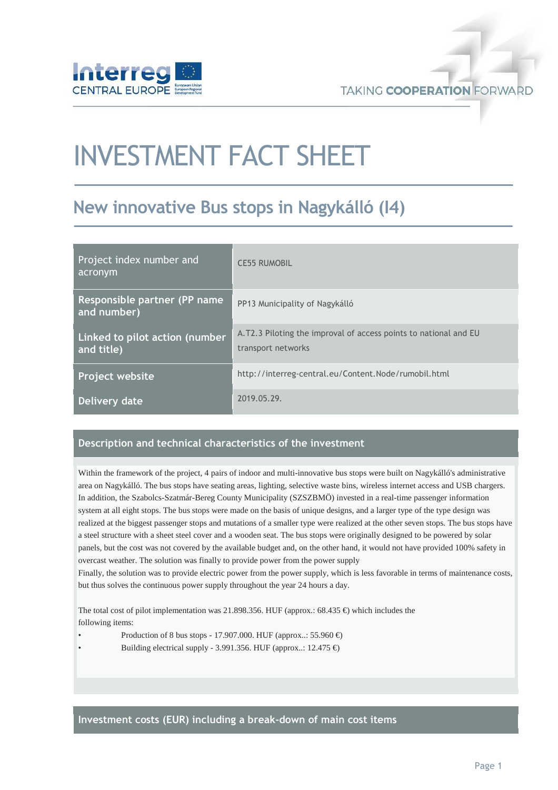

# INVESTMENT FACT SHEET

## New innovative Bus stops in Nagykálló (I4)

| Project index number and<br>acronym          | <b>CE55 RUMOBIL</b>                                                                    |
|----------------------------------------------|----------------------------------------------------------------------------------------|
| Responsible partner (PP name)<br>and number) | PP13 Municipality of Nagykálló                                                         |
| Linked to pilot action (number<br>and title) | A.T2.3 Piloting the improval of access points to national and EU<br>transport networks |
| Project website                              | http://interreg-central.eu/Content.Node/rumobil.html                                   |
| Delivery date                                | 2019.05.29.                                                                            |

#### Description and technical characteristics of the investment

Within the framework of the project, 4 pairs of indoor and multi-innovative bus stops were built on Nagykálló's administrative area on Nagykálló. The bus stops have seating areas, lighting, selective waste bins, wireless internet access and USB chargers. In addition, the Szabolcs-Szatmár-Bereg County Municipality (SZSZBMÖ) invested in a real-time passenger information system at all eight stops. The bus stops were made on the basis of unique designs, and a larger type of the type design was realized at the biggest passenger stops and mutations of a smaller type were realized at the other seven stops. The bus stops have a steel structure with a sheet steel cover and a wooden seat. The bus stops were originally designed to be powered by solar panels, but the cost was not covered by the available budget and, on the other hand, it would not have provided 100% safety in overcast weather. The solution was finally to provide power from the power supply

Finally, the solution was to provide electric power from the power supply, which is less favorable in terms of maintenance costs, but thus solves the continuous power supply throughout the year 24 hours a day.

The total cost of pilot implementation was 21.898.356. HUF (approx.: 68.435  $\epsilon$ ) which includes the following items:

- Production of 8 bus stops 17.907.000. HUF (approx..: 55.960  $\in$ )
- Building electrical supply 3.991.356. HUF (approx..:  $12.475 \in$ )

Investment costs (EUR) including a break-down of main cost items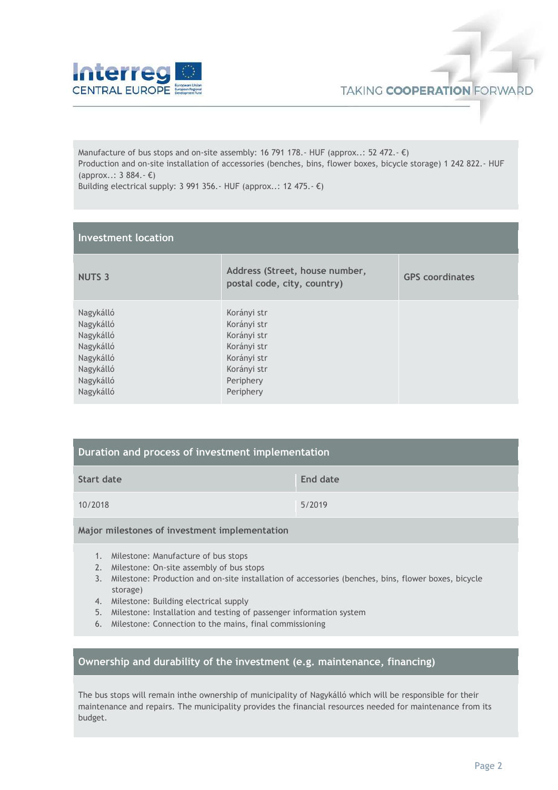

Manufacture of bus stops and on-site assembly: 16 791 178.- HUF (approx..: 52 472.-  $\epsilon$ ) Production and on-site installation of accessories (benches, bins, flower boxes, bicycle storage) 1 242 822.- HUF (approx..: 3 884.- €)

| Building electrical supply: 3 991 356. HUF (approx: 12 475. $\epsilon$ ) |  |  |  |  |  |  |
|--------------------------------------------------------------------------|--|--|--|--|--|--|
|--------------------------------------------------------------------------|--|--|--|--|--|--|

| <b>Investment location</b>                                                                           |                                                                                                                  |                        |  |  |
|------------------------------------------------------------------------------------------------------|------------------------------------------------------------------------------------------------------------------|------------------------|--|--|
| <b>NUTS 3</b>                                                                                        | Address (Street, house number,<br>postal code, city, country)                                                    | <b>GPS</b> coordinates |  |  |
| Nagykálló<br>Nagykálló<br>Nagykálló<br>Nagykálló<br>Nagykálló<br>Nagykálló<br>Nagykálló<br>Nagykálló | Korányi str<br>Korányi str<br>Korányi str<br>Korányi str<br>Korányi str<br>Korányi str<br>Periphery<br>Periphery |                        |  |  |

| Duration and process of investment implementation |          |  |  |
|---------------------------------------------------|----------|--|--|
| <b>Start date</b>                                 | End date |  |  |
| 10/2018                                           | 5/2019   |  |  |

#### Major milestones of investment implementation

- 1. Milestone: Manufacture of bus stops
- 2. Milestone: On-site assembly of bus stops
- 3. Milestone: Production and on-site installation of accessories (benches, bins, flower boxes, bicycle storage)
- 4. Milestone: Building electrical supply
- 5. Milestone: Installation and testing of passenger information system
- 6. Milestone: Connection to the mains, final commissioning

### Ownership and durability of the investment (e.g. maintenance, financing)

The bus stops will remain inthe ownership of municipality of Nagykálló which will be responsible for their maintenance and repairs. The municipality provides the financial resources needed for maintenance from its budget.